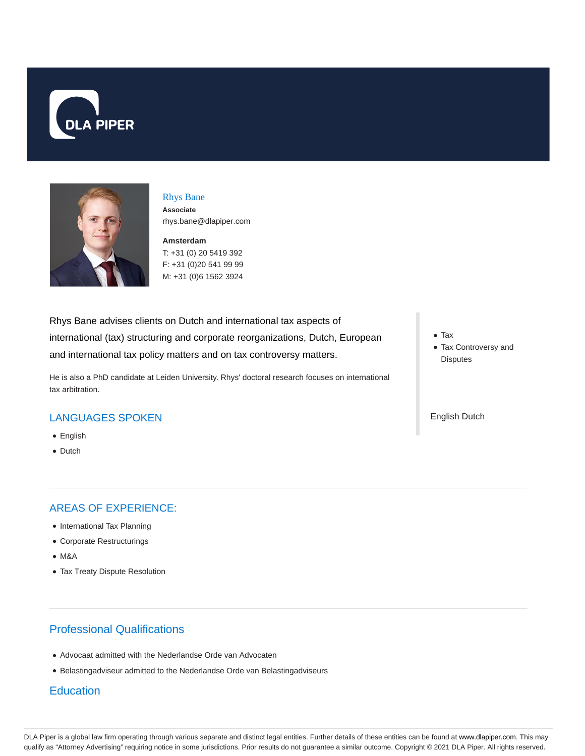



### Rhys Bane

**Associate** rhys.bane@dlapiper.com

**Amsterdam**

T: +31 (0) 20 5419 392 F: +31 (0)20 541 99 99 M: +31 (0)6 1562 3924

Rhys Bane advises clients on Dutch and international tax aspects of international (tax) structuring and corporate reorganizations, Dutch, European and international tax policy matters and on tax controversy matters.

He is also a PhD candidate at Leiden University. Rhys' doctoral research focuses on international tax arbitration.

## LANGUAGES SPOKEN

- English
- Dutch

### AREAS OF EXPERIENCE:

- International Tax Planning
- Corporate Restructurings
- M&A
- Tax Treaty Dispute Resolution

# Professional Qualifications

- Advocaat admitted with the Nederlandse Orde van Advocaten
- Belastingadviseur admitted to the Nederlandse Orde van Belastingadviseurs

### **Education**

Tax

Tax Controversy and **Disputes** 

English Dutch

DLA Piper is a global law firm operating through various separate and distinct legal entities. Further details of these entities can be found at www.dlapiper.com. This may qualify as "Attorney Advertising" requiring notice in some jurisdictions. Prior results do not guarantee a similar outcome. Copyright © 2021 DLA Piper. All rights reserved.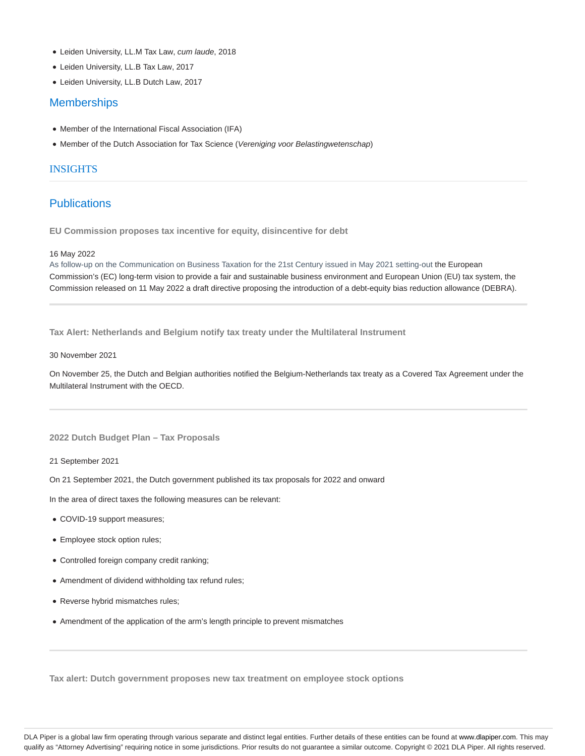- Leiden University, LL.M Tax Law, cum laude, 2018
- Leiden University, LL.B Tax Law, 2017
- Leiden University, LL.B Dutch Law, 2017

### **Memberships**

- Member of the International Fiscal Association (IFA)
- Member of the Dutch Association for Tax Science (Vereniging voor Belastingwetenschap)

### INSIGHTS

### **Publications**

**EU Commission proposes tax incentive for equity, disincentive for debt**

#### 16 May 2022

As follow-up on the Communication on Business Taxation for the 21st Century issued in May 2021 setting-out the European Commission's (EC) long-term vision to provide a fair and sustainable business environment and European Union (EU) tax system, the Commission released on 11 May 2022 a draft directive proposing the introduction of a debt-equity bias reduction allowance (DEBRA).

**Tax Alert: Netherlands and Belgium notify tax treaty under the Multilateral Instrument**

#### 30 November 2021

On November 25, the Dutch and Belgian authorities notified the Belgium-Netherlands tax treaty as a Covered Tax Agreement under the Multilateral Instrument with the OECD.

#### **2022 Dutch Budget Plan – Tax Proposals**

21 September 2021

On 21 September 2021, the Dutch government published its tax proposals for 2022 and onward

In the area of direct taxes the following measures can be relevant:

- COVID-19 support measures;
- Employee stock option rules;
- Controlled foreign company credit ranking;
- Amendment of dividend withholding tax refund rules;
- Reverse hybrid mismatches rules;
- Amendment of the application of the arm's length principle to prevent mismatches

**Tax alert: Dutch government proposes new tax treatment on employee stock options**

DLA Piper is a global law firm operating through various separate and distinct legal entities. Further details of these entities can be found at www.dlapiper.com. This may qualify as "Attorney Advertising" requiring notice in some jurisdictions. Prior results do not guarantee a similar outcome. Copyright @ 2021 DLA Piper. All rights reserved.